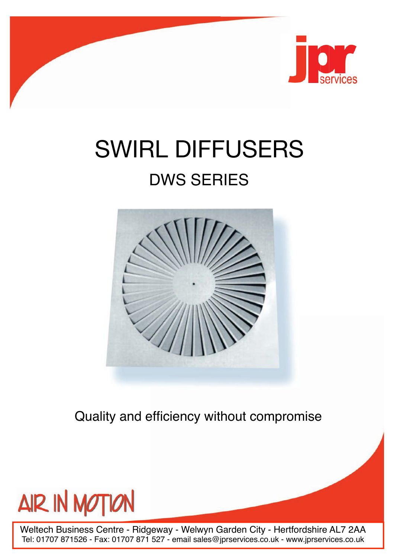

# SWIRL DIFFUSERS

# DWS SERIES



Quality and efficiency without compromise



Weltech Business Centre - Ridgeway - Welwyn Garden City - Hertfordshire AL7 2AA Tel: 01707 871526 - Fax: 01707 871 527 - email sales@jprservices.co.uk - www.jprservices.co.uk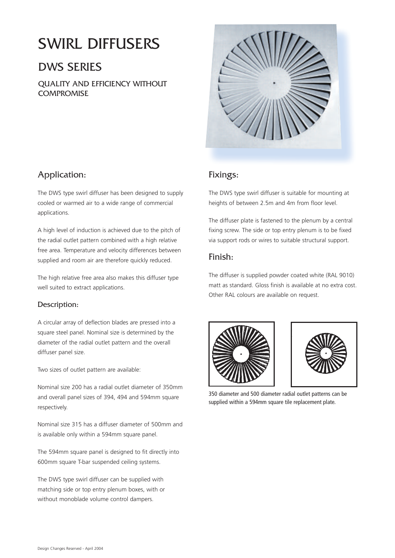# SWIRL DIFFUSERS

## DWS SERIES

QUALITY AND EFFICIENCY WITHOUT **COMPROMISE** 



#### Application:

The DWS type swirl diffuser has been designed to supply cooled or warmed air to a wide range of commercial applications.

A high level of induction is achieved due to the pitch of the radial outlet pattern combined with a high relative free area. Temperature and velocity differences between supplied and room air are therefore quickly reduced.

The high relative free area also makes this diffuser type well suited to extract applications.

#### Description:

A circular array of deflection blades are pressed into a square steel panel. Nominal size is determined by the diameter of the radial outlet pattern and the overall diffuser panel size.

Two sizes of outlet pattern are available:

Nominal size 200 has a radial outlet diameter of 350mm and overall panel sizes of 394, 494 and 594mm square respectively.

Nominal size 315 has a diffuser diameter of 500mm and is available only within a 594mm square panel.

The 594mm square panel is designed to fit directly into 600mm square T-bar suspended ceiling systems.

The DWS type swirl diffuser can be supplied with matching side or top entry plenum boxes, with or without monoblade volume control dampers.

#### Fixings:

The DWS type swirl diffuser is suitable for mounting at heights of between 2.5m and 4m from floor level.

The diffuser plate is fastened to the plenum by a central fixing screw. The side or top entry plenum is to be fixed via support rods or wires to suitable structural support.

#### Finish:

The diffuser is supplied powder coated white (RAL 9010) matt as standard. Gloss finish is available at no extra cost. Other RAL colours are available on request.





350 diameter and 500 diameter radial outlet patterns can be supplied within a 594mm square tile replacement plate.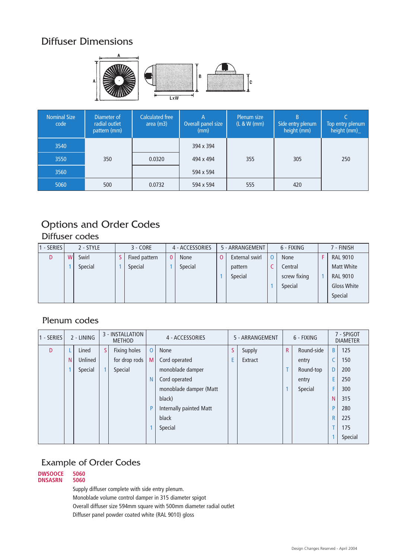### Diffuser Dimensions



| <b>Nominal Size</b><br>code | Diameter of<br>radial outlet<br>pattern (mm) | <b>Calculated free</b><br>area (m3) | А<br>Overall panel size<br>(mm) | Plenum size<br>(L & W (mm) | B<br>Side entry plenum<br>height (mm) | Top entry plenum<br>height (mm)_ |
|-----------------------------|----------------------------------------------|-------------------------------------|---------------------------------|----------------------------|---------------------------------------|----------------------------------|
| 3540                        |                                              |                                     | 394 x 394                       |                            |                                       |                                  |
| 3550                        | 350                                          | 0.0320                              | 494 x 494                       | 355                        | 305                                   | 250                              |
| 3560                        |                                              |                                     | 594 x 594                       |                            |                                       |                                  |
| 5060                        | 500                                          | 0.0732                              | 594 x 594                       | 555                        | 420                                   |                                  |

## Options and Order Codes

#### Diffuser codes

| - SERIES I |   | 2 - STYLE | $3 - CORE$    |   | 4 - ACCESSORIES | 5 - ARRANGEMENT | 6 - FIXING   | 7 - FINISH         |
|------------|---|-----------|---------------|---|-----------------|-----------------|--------------|--------------------|
| D          | W | Swirl     | Fixed pattern | 0 | <b>None</b>     | External swirl  | <b>None</b>  | <b>RAL 9010</b>    |
|            |   | Special   | Special       |   | Special         | pattern         | Central      | <b>Matt White</b>  |
|            |   |           |               |   |                 | Special         | screw fixing | <b>RAL 9010</b>    |
|            |   |           |               |   |                 |                 | Special      | <b>Gloss White</b> |
|            |   |           |               |   |                 |                 |              | Special            |

#### Plenum codes

| 1 - SERIES |   | 2 - LINING |   | 3 - INSTALLATION<br><b>METHOD</b> |                | 4 - ACCESSORIES         |    | 5 - ARRANGEMENT |              | 6 - FIXING |   | 7 - SPIGOT<br><b>DIAMETER</b> |
|------------|---|------------|---|-----------------------------------|----------------|-------------------------|----|-----------------|--------------|------------|---|-------------------------------|
| D          |   | Lined      | S | Fixing holes                      | $\overline{O}$ | None                    | S. | Supply          | $\mathsf{R}$ | Round-side | B | 125                           |
|            | N | Unlined    |   | for drop rods                     | M              | Cord operated           | E  | Extract         |              | entry      |   | 150                           |
|            |   | Special    |   | Special                           |                | monoblade damper        |    |                 | т            | Round-top  | D | 200                           |
|            |   |            |   |                                   | N              | Cord operated           |    |                 |              | entry      | E | 250                           |
|            |   |            |   |                                   |                | monoblade damper (Matt  |    |                 | 1            | Special    | F | 300                           |
|            |   |            |   |                                   |                | black)                  |    |                 |              |            | N | 315                           |
|            |   |            |   |                                   | P              | Internally painted Matt |    |                 |              |            | P | 280                           |
|            |   |            |   |                                   |                | black                   |    |                 |              |            | R | 225                           |
|            |   |            |   |                                   |                | Special                 |    |                 |              |            |   | 175                           |
|            |   |            |   |                                   |                |                         |    |                 |              |            |   | Special                       |

#### Example of Order Codes

**DWSOOCE 5060**  $DNSASRN$ 

Supply diffuser complete with side entry plenum.

Monoblade volume control damper in 315 diameter spigot

Overall diffuser size 594mm square with 500mm diameter radial outlet

Diffuser panel powder coated white (RAL 9010) gloss